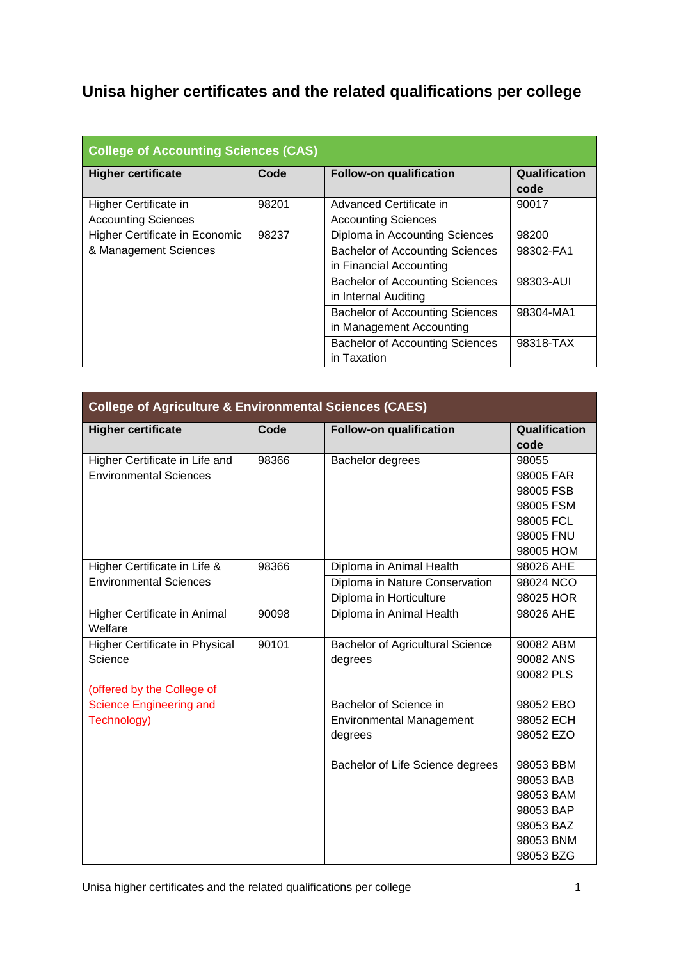## **Unisa higher certificates and the related qualifications per college**

| <b>College of Accounting Sciences (CAS)</b> |       |                                        |               |  |
|---------------------------------------------|-------|----------------------------------------|---------------|--|
| <b>Higher certificate</b>                   | Code  | <b>Follow-on qualification</b>         | Qualification |  |
|                                             |       |                                        | code          |  |
| Higher Certificate in                       | 98201 | Advanced Certificate in                | 90017         |  |
| <b>Accounting Sciences</b>                  |       | <b>Accounting Sciences</b>             |               |  |
| Higher Certificate in Economic              | 98237 | Diploma in Accounting Sciences         | 98200         |  |
| & Management Sciences                       |       | <b>Bachelor of Accounting Sciences</b> | 98302-FA1     |  |
|                                             |       | in Financial Accounting                |               |  |
|                                             |       | <b>Bachelor of Accounting Sciences</b> | 98303-AUI     |  |
|                                             |       | in Internal Auditing                   |               |  |
|                                             |       | <b>Bachelor of Accounting Sciences</b> | 98304-MA1     |  |
|                                             |       | in Management Accounting               |               |  |
|                                             |       | <b>Bachelor of Accounting Sciences</b> | 98318-TAX     |  |
|                                             |       | in Taxation                            |               |  |

| <b>College of Agriculture &amp; Environmental Sciences (CAES)</b> |       |                                         |               |  |
|-------------------------------------------------------------------|-------|-----------------------------------------|---------------|--|
| <b>Higher certificate</b>                                         | Code  | <b>Follow-on qualification</b>          | Qualification |  |
|                                                                   |       |                                         | code          |  |
| Higher Certificate in Life and                                    | 98366 | Bachelor degrees                        | 98055         |  |
| <b>Environmental Sciences</b>                                     |       |                                         | 98005 FAR     |  |
|                                                                   |       |                                         | 98005 FSB     |  |
|                                                                   |       |                                         | 98005 FSM     |  |
|                                                                   |       |                                         | 98005 FCL     |  |
|                                                                   |       |                                         | 98005 FNU     |  |
|                                                                   |       |                                         | 98005 HOM     |  |
| Higher Certificate in Life &                                      | 98366 | Diploma in Animal Health                | 98026 AHE     |  |
| <b>Environmental Sciences</b>                                     |       | Diploma in Nature Conservation          | 98024 NCO     |  |
|                                                                   |       | Diploma in Horticulture                 | 98025 HOR     |  |
| Higher Certificate in Animal<br>Welfare                           | 90098 | Diploma in Animal Health                | 98026 AHE     |  |
| Higher Certificate in Physical                                    | 90101 | <b>Bachelor of Agricultural Science</b> | 90082 ABM     |  |
| Science                                                           |       | degrees                                 | 90082 ANS     |  |
|                                                                   |       |                                         | 90082 PLS     |  |
| (offered by the College of                                        |       |                                         |               |  |
| <b>Science Engineering and</b>                                    |       | Bachelor of Science in                  | 98052 EBO     |  |
| Technology)                                                       |       | <b>Environmental Management</b>         | 98052 ECH     |  |
|                                                                   |       | degrees                                 | 98052 EZO     |  |
|                                                                   |       | Bachelor of Life Science degrees        | 98053 BBM     |  |
|                                                                   |       |                                         | 98053 BAB     |  |
|                                                                   |       |                                         | 98053 BAM     |  |
|                                                                   |       |                                         | 98053 BAP     |  |
|                                                                   |       |                                         | 98053 BAZ     |  |
|                                                                   |       |                                         | 98053 BNM     |  |
|                                                                   |       |                                         | 98053 BZG     |  |

Unisa higher certificates and the related qualifications per college 1 and 1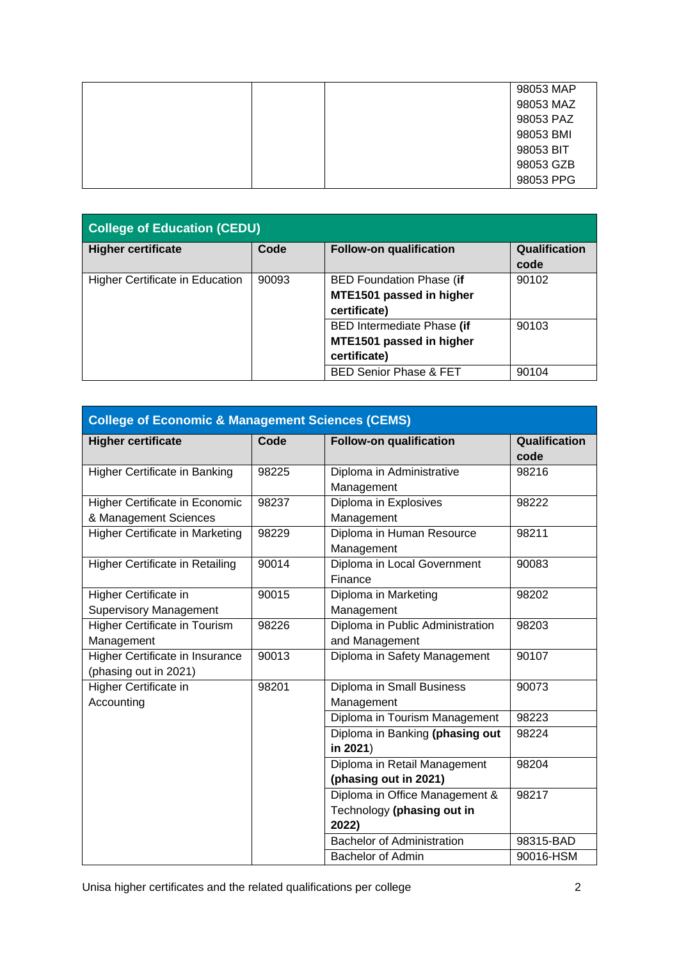|  | 98053 MAP |
|--|-----------|
|  | 98053 MAZ |
|  | 98053 PAZ |
|  | 98053 BMI |
|  | 98053 BIT |
|  | 98053 GZB |
|  | 98053 PPG |

| <b>College of Education (CEDU)</b>       |                                                                               |                                                                             |                       |
|------------------------------------------|-------------------------------------------------------------------------------|-----------------------------------------------------------------------------|-----------------------|
| <b>Higher certificate</b>                | Code                                                                          | <b>Follow-on qualification</b>                                              | Qualification<br>code |
| 90093<br>Higher Certificate in Education |                                                                               | <b>BED Foundation Phase (if</b><br>MTE1501 passed in higher<br>certificate) | 90102                 |
|                                          | <b>BED Intermediate Phase (if</b><br>MTE1501 passed in higher<br>certificate) | 90103                                                                       |                       |
|                                          |                                                                               | <b>BED Senior Phase &amp; FET</b>                                           | 90104                 |

| <b>College of Economic &amp; Management Sciences (CEMS)</b>     |       |                                                                       |                       |  |
|-----------------------------------------------------------------|-------|-----------------------------------------------------------------------|-----------------------|--|
| <b>Higher certificate</b>                                       | Code  | <b>Follow-on qualification</b>                                        | Qualification<br>code |  |
| Higher Certificate in Banking                                   | 98225 | Diploma in Administrative<br>Management                               | 98216                 |  |
| Higher Certificate in Economic<br>& Management Sciences         | 98237 | Diploma in Explosives<br>Management                                   | 98222                 |  |
| Higher Certificate in Marketing                                 | 98229 | Diploma in Human Resource<br>Management                               | 98211                 |  |
| <b>Higher Certificate in Retailing</b>                          | 90014 | Diploma in Local Government<br>Finance                                | 90083                 |  |
| Higher Certificate in<br><b>Supervisory Management</b>          | 90015 | Diploma in Marketing<br>Management                                    | 98202                 |  |
| <b>Higher Certificate in Tourism</b><br>Management              | 98226 | Diploma in Public Administration<br>and Management                    | 98203                 |  |
| <b>Higher Certificate in Insurance</b><br>(phasing out in 2021) | 90013 | Diploma in Safety Management                                          | 90107                 |  |
| Higher Certificate in<br>Accounting                             | 98201 | Diploma in Small Business<br>Management                               | 90073                 |  |
|                                                                 |       | Diploma in Tourism Management                                         | 98223                 |  |
|                                                                 |       | Diploma in Banking (phasing out<br>in 2021)                           | 98224                 |  |
|                                                                 |       | Diploma in Retail Management<br>(phasing out in 2021)                 | 98204                 |  |
|                                                                 |       | Diploma in Office Management &<br>Technology (phasing out in<br>2022) | 98217                 |  |
|                                                                 |       | <b>Bachelor of Administration</b>                                     | 98315-BAD             |  |
|                                                                 |       | <b>Bachelor of Admin</b>                                              | 90016-HSM             |  |

Unisa higher certificates and the related qualifications per college **2** 2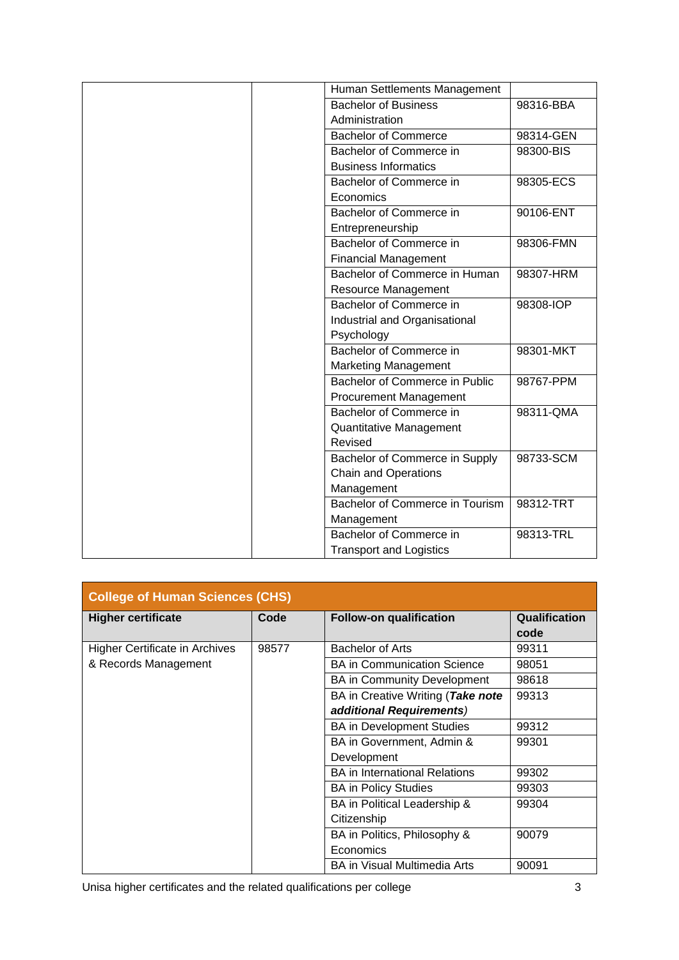|  | Human Settlements Management    |           |
|--|---------------------------------|-----------|
|  | <b>Bachelor of Business</b>     | 98316-BBA |
|  | Administration                  |           |
|  | <b>Bachelor of Commerce</b>     | 98314-GEN |
|  | Bachelor of Commerce in         | 98300-BIS |
|  | <b>Business Informatics</b>     |           |
|  | Bachelor of Commerce in         | 98305-ECS |
|  | Economics                       |           |
|  | Bachelor of Commerce in         | 90106-ENT |
|  | Entrepreneurship                |           |
|  | Bachelor of Commerce in         | 98306-FMN |
|  | <b>Financial Management</b>     |           |
|  | Bachelor of Commerce in Human   | 98307-HRM |
|  | Resource Management             |           |
|  | Bachelor of Commerce in         | 98308-IOP |
|  | Industrial and Organisational   |           |
|  | Psychology                      |           |
|  | <b>Bachelor of Commerce in</b>  | 98301-MKT |
|  | <b>Marketing Management</b>     |           |
|  | Bachelor of Commerce in Public  | 98767-PPM |
|  | <b>Procurement Management</b>   |           |
|  | Bachelor of Commerce in         | 98311-QMA |
|  | Quantitative Management         |           |
|  | Revised                         |           |
|  | Bachelor of Commerce in Supply  | 98733-SCM |
|  | <b>Chain and Operations</b>     |           |
|  | Management                      |           |
|  | Bachelor of Commerce in Tourism | 98312-TRT |
|  | Management                      |           |
|  | Bachelor of Commerce in         | 98313-TRL |
|  | <b>Transport and Logistics</b>  |           |

| <b>College of Human Sciences (CHS)</b> |       |                                      |               |
|----------------------------------------|-------|--------------------------------------|---------------|
| <b>Higher certificate</b>              | Code  | <b>Follow-on qualification</b>       | Qualification |
|                                        |       |                                      | code          |
| <b>Higher Certificate in Archives</b>  | 98577 | <b>Bachelor of Arts</b>              | 99311         |
| & Records Management                   |       | <b>BA in Communication Science</b>   | 98051         |
|                                        |       | <b>BA</b> in Community Development   | 98618         |
|                                        |       | BA in Creative Writing (Take note    | 99313         |
|                                        |       | additional Requirements)             |               |
|                                        |       | <b>BA</b> in Development Studies     | 99312         |
|                                        |       | BA in Government, Admin &            | 99301         |
|                                        |       | Development                          |               |
|                                        |       | <b>BA</b> in International Relations | 99302         |
|                                        |       | <b>BA</b> in Policy Studies          | 99303         |
|                                        |       | BA in Political Leadership &         | 99304         |
|                                        |       | Citizenship                          |               |
|                                        |       | BA in Politics, Philosophy &         | 90079         |
|                                        |       | Economics                            |               |
|                                        |       | <b>BA in Visual Multimedia Arts</b>  | 90091         |

Unisa higher certificates and the related qualifications per college 33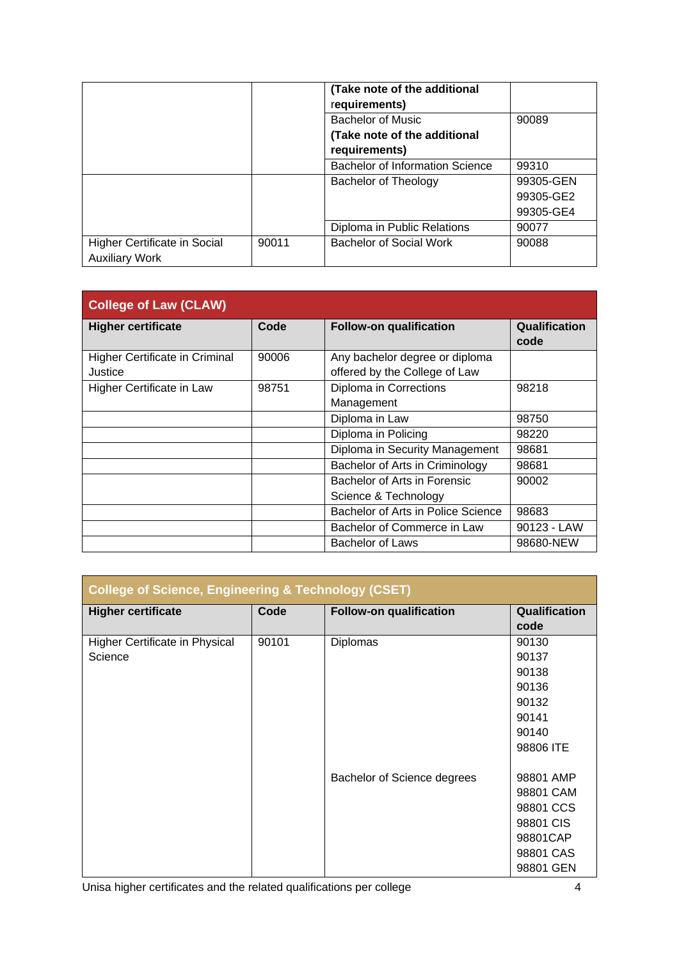|                                                       |       | (Take note of the additional<br>requirements) |           |
|-------------------------------------------------------|-------|-----------------------------------------------|-----------|
|                                                       |       | <b>Bachelor of Music</b>                      | 90089     |
|                                                       |       | (Take note of the additional<br>requirements) |           |
|                                                       |       | <b>Bachelor of Information Science</b>        | 99310     |
|                                                       |       | Bachelor of Theology                          | 99305-GEN |
|                                                       |       |                                               | 99305-GE2 |
|                                                       |       |                                               | 99305-GE4 |
|                                                       |       | Diploma in Public Relations                   | 90077     |
| Higher Certificate in Social<br><b>Auxiliary Work</b> | 90011 | Bachelor of Social Work                       | 90088     |

| <b>College of Law (CLAW)</b>   |       |                                    |               |
|--------------------------------|-------|------------------------------------|---------------|
| <b>Higher certificate</b>      | Code  | <b>Follow-on qualification</b>     | Qualification |
|                                |       |                                    | code          |
| Higher Certificate in Criminal | 90006 | Any bachelor degree or diploma     |               |
| Justice                        |       | offered by the College of Law      |               |
| Higher Certificate in Law      | 98751 | Diploma in Corrections             | 98218         |
|                                |       | Management                         |               |
|                                |       | Diploma in Law                     | 98750         |
|                                |       | Diploma in Policing                | 98220         |
|                                |       | Diploma in Security Management     | 98681         |
|                                |       | Bachelor of Arts in Criminology    | 98681         |
|                                |       | Bachelor of Arts in Forensic       | 90002         |
|                                |       | Science & Technology               |               |
|                                |       | Bachelor of Arts in Police Science | 98683         |
|                                |       | Bachelor of Commerce in Law        | 90123 - LAW   |
|                                |       | <b>Bachelor of Laws</b>            | 98680-NEW     |

| <b>College of Science, Engineering &amp; Technology (CSET)</b> |       |                                |               |  |
|----------------------------------------------------------------|-------|--------------------------------|---------------|--|
| <b>Higher certificate</b>                                      | Code  | <b>Follow-on qualification</b> | Qualification |  |
|                                                                |       |                                | code          |  |
| Higher Certificate in Physical                                 | 90101 | Diplomas                       | 90130         |  |
| Science                                                        |       |                                | 90137         |  |
|                                                                |       |                                | 90138         |  |
|                                                                |       |                                | 90136         |  |
|                                                                |       |                                | 90132         |  |
|                                                                |       |                                | 90141         |  |
|                                                                |       |                                | 90140         |  |
|                                                                |       |                                | 98806 ITE     |  |
|                                                                |       |                                |               |  |
|                                                                |       | Bachelor of Science degrees    | 98801 AMP     |  |
|                                                                |       |                                | 98801 CAM     |  |
|                                                                |       |                                | 98801 CCS     |  |
|                                                                |       |                                | 98801 CIS     |  |
|                                                                |       |                                | 98801CAP      |  |
|                                                                |       |                                | 98801 CAS     |  |
|                                                                |       |                                | 98801 GEN     |  |